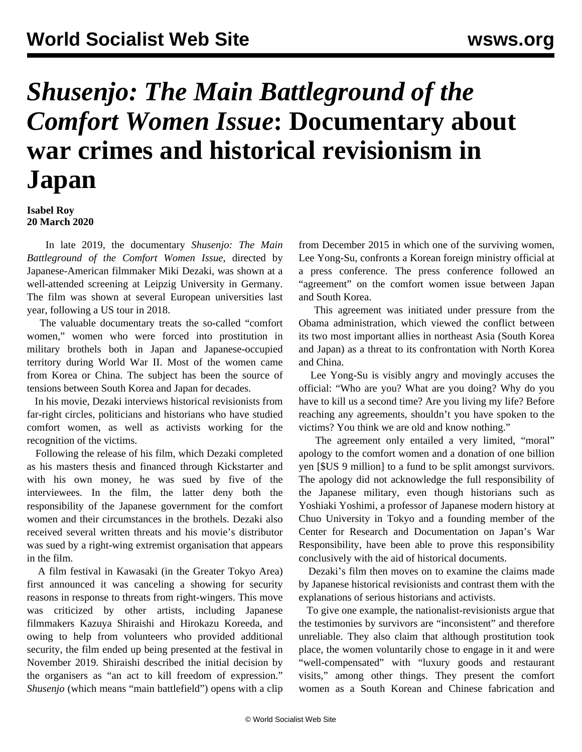## *Shusenjo: The Main Battleground of the Comfort Women Issue***: Documentary about war crimes and historical revisionism in Japan**

**Isabel Roy 20 March 2020**

 In late 2019, the documentary *Shusenjo: The Main Battleground of the Comfort Women Issue*, directed by Japanese-American filmmaker Miki Dezaki, was shown at a well-attended screening at Leipzig University in Germany. The film was shown at several European universities last year, following a US tour in 2018.

 The valuable documentary treats the so-called "comfort women," women who were forced into prostitution in military brothels both in Japan and Japanese-occupied territory during World War II. Most of the women came from Korea or China. The subject has been the source of tensions between South Korea and Japan for decades.

 In his movie, Dezaki interviews historical revisionists from far-right circles, politicians and historians who have studied comfort women, as well as activists working for the recognition of the victims.

 Following the release of his film, which Dezaki completed as his masters thesis and financed through Kickstarter and with his own money, he was sued by five of the interviewees. In the film, the latter deny both the responsibility of the Japanese government for the comfort women and their circumstances in the brothels. Dezaki also received several written threats and his movie's distributor was sued by a right-wing extremist organisation that appears in the film.

 A film festival in Kawasaki (in the Greater Tokyo Area) first announced it was canceling a showing for security reasons in response to threats from right-wingers. This move was criticized by other artists, including Japanese filmmakers Kazuya Shiraishi and Hirokazu Koreeda, and owing to help from volunteers who provided additional security, the film ended up being presented at the festival in November 2019. Shiraishi described the initial decision by the organisers as "an act to kill freedom of expression." *Shusenjo* (which means "main battlefield") opens with a clip from December 2015 in which one of the surviving women, Lee Yong-Su, confronts a Korean foreign ministry official at a press conference. The press conference followed an "agreement" on the comfort women issue between Japan and South Korea.

 This agreement was initiated under pressure from the Obama administration, which viewed the conflict between its two most important allies in northeast Asia (South Korea and Japan) as a threat to its confrontation with North Korea and China.

 Lee Yong-Su is visibly angry and movingly accuses the official: "Who are you? What are you doing? Why do you have to kill us a second time? Are you living my life? Before reaching any agreements, shouldn't you have spoken to the victims? You think we are old and know nothing."

 The agreement only entailed a very limited, "moral" apology to the comfort women and a donation of one billion yen [\$US 9 million] to a fund to be split amongst survivors. The apology did not acknowledge the full responsibility of the Japanese military, even though historians such as Yoshiaki Yoshimi, a professor of Japanese modern history at Chuo University in Tokyo and a founding member of the Center for Research and Documentation on Japan's War Responsibility, have been able to prove this responsibility conclusively with the aid of historical documents.

 Dezaki's film then moves on to examine the claims made by Japanese historical revisionists and contrast them with the explanations of serious historians and activists.

 To give one example, the nationalist-revisionists argue that the testimonies by survivors are "inconsistent" and therefore unreliable. They also claim that although prostitution took place, the women voluntarily chose to engage in it and were "well-compensated" with "luxury goods and restaurant visits," among other things. They present the comfort women as a South Korean and Chinese fabrication and